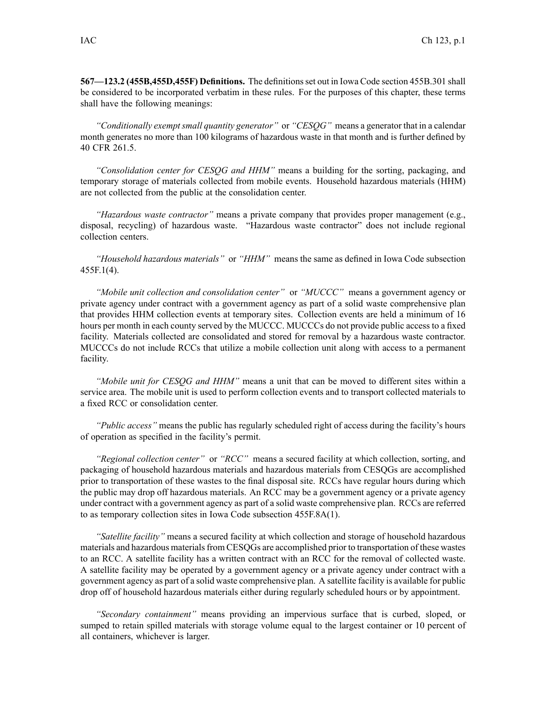**567—123.2 (455B,455D,455F) Definitions.** The definitionsset out in Iowa Code section 455B.301 shall be considered to be incorporated verbatim in these rules. For the purposes of this chapter, these terms shall have the following meanings:

*"Conditionally exemptsmall quantity generator"* or *"CESQG"* means <sup>a</sup> generator that in <sup>a</sup> calendar month generates no more than 100 kilograms of hazardous waste in that month and is further defined by 40 CFR 261.5.

*"Consolidation center for CESQG and HHM"* means <sup>a</sup> building for the sorting, packaging, and temporary storage of materials collected from mobile events. Household hazardous materials (HHM) are not collected from the public at the consolidation center.

*"Hazardous waste contractor"* means <sup>a</sup> private company that provides proper managemen<sup>t</sup> (e.g., disposal, recycling) of hazardous waste. "Hazardous waste contractor" does not include regional collection centers.

*"Household hazardous materials"* or *"HHM"* means the same as defined in Iowa Code subsection 455F.1(4).

*"Mobile unit collection and consolidation center"* or *"MUCCC"* means <sup>a</sup> governmen<sup>t</sup> agency or private agency under contract with <sup>a</sup> governmen<sup>t</sup> agency as par<sup>t</sup> of <sup>a</sup> solid waste comprehensive plan that provides HHM collection events at temporary sites. Collection events are held <sup>a</sup> minimum of 16 hours per month in each county served by the MUCCC. MUCCCs do not provide public access to <sup>a</sup> fixed facility. Materials collected are consolidated and stored for removal by <sup>a</sup> hazardous waste contractor. MUCCCs do not include RCCs that utilize <sup>a</sup> mobile collection unit along with access to <sup>a</sup> permanen<sup>t</sup> facility.

*"Mobile unit for CESQG and HHM"* means <sup>a</sup> unit that can be moved to different sites within <sup>a</sup> service area. The mobile unit is used to perform collection events and to transport collected materials to <sup>a</sup> fixed RCC or consolidation center.

*"Public access"* means the public has regularly scheduled right of access during the facility's hours of operation as specified in the facility's permit.

*"Regional collection center"* or *"RCC"* means <sup>a</sup> secured facility at which collection, sorting, and packaging of household hazardous materials and hazardous materials from CESQGs are accomplished prior to transportation of these wastes to the final disposal site. RCCs have regular hours during which the public may drop off hazardous materials. An RCC may be <sup>a</sup> governmen<sup>t</sup> agency or <sup>a</sup> private agency under contract with <sup>a</sup> governmen<sup>t</sup> agency as par<sup>t</sup> of <sup>a</sup> solid waste comprehensive plan. RCCs are referred to as temporary collection sites in Iowa Code subsection 455F.8A(1).

*"Satellite facility"* means <sup>a</sup> secured facility at which collection and storage of household hazardous materials and hazardous materials from CESQGs are accomplished prior to transportation of these wastes to an RCC. A satellite facility has <sup>a</sup> written contract with an RCC for the removal of collected waste. A satellite facility may be operated by <sup>a</sup> governmen<sup>t</sup> agency or <sup>a</sup> private agency under contract with <sup>a</sup> governmen<sup>t</sup> agency as par<sup>t</sup> of <sup>a</sup> solid waste comprehensive plan. A satellite facility is available for public drop off of household hazardous materials either during regularly scheduled hours or by appointment.

*"Secondary containment"* means providing an impervious surface that is curbed, sloped, or sumped to retain spilled materials with storage volume equal to the largest container or 10 percen<sup>t</sup> of all containers, whichever is larger.